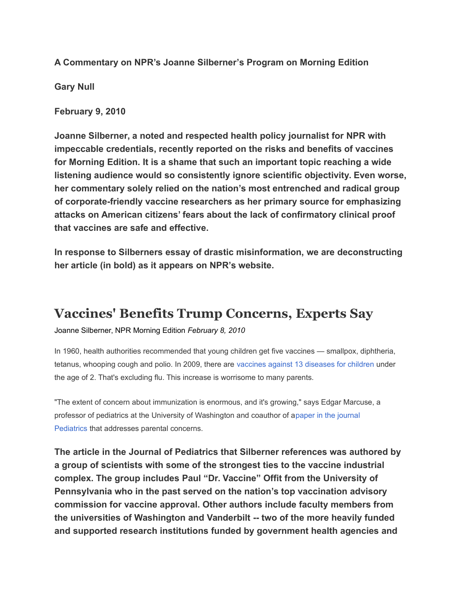**A Commentary on NPR's Joanne Silberner's Program on Morning Edition**

**Gary Null**

**February 9, 2010**

**Joanne Silberner, a noted and respected health policy journalist for NPR with impeccable credentials, recently reported on the risks and benefits of vaccines for Morning Edition. It is a shame that such an important topic reaching a wide listening audience would so consistently ignore scientific objectivity. Even worse, her commentary solely relied on the nation's most entrenched and radical group of corporate-friendly vaccine researchers as her primary source for emphasizing attacks on American citizens' fears about the lack of confirmatory clinical proof that vaccines are safe and effective.** 

**In response to Silberners essay of drastic misinformation, we are deconstructing her article (in bold) as it appears on NPR's website.**

## **Vaccines' Benefits Trump Concerns, Experts Say**

Joanne Silberner, NPR Morning Edition *February 8, 2010*

In 1960, health authorities recommended that young children get five vaccines — smallpox, diphtheria, tetanus, whooping cough and polio. In 2009, there are [vaccines against 13 diseases for children](http://www.cdc.gov/vaccines/recs/schedules/downloads/child/2010/10_0-6yrs-schedule-pr.pdf) under the age of 2. That's excluding flu. This increase is worrisome to many parents.

"The extent of concern about immunization is enormous, and it's growing," says Edgar Marcuse, a professor of pediatrics at the University of Washington and coauthor of [apaper in the journal](http://pediatrics.aappublications.org/cgi/content/abstract/109/1/124?maxtoshow=&HITS=10&hits=10&RESULTFORMAT=&fulltext=addressing+parents)  [Pediatrics](http://pediatrics.aappublications.org/cgi/content/abstract/109/1/124?maxtoshow=&HITS=10&hits=10&RESULTFORMAT=&fulltext=addressing+parents) that addresses parental concerns.

**The article in the Journal of Pediatrics that Silberner references was authored by a group of scientists with some of the strongest ties to the vaccine industrial complex. The group includes Paul "Dr. Vaccine" Offit from the University of Pennsylvania who in the past served on the nation's top vaccination advisory commission for vaccine approval. Other authors include faculty members from the universities of Washington and Vanderbilt -- two of the more heavily funded and supported research institutions funded by government health agencies and**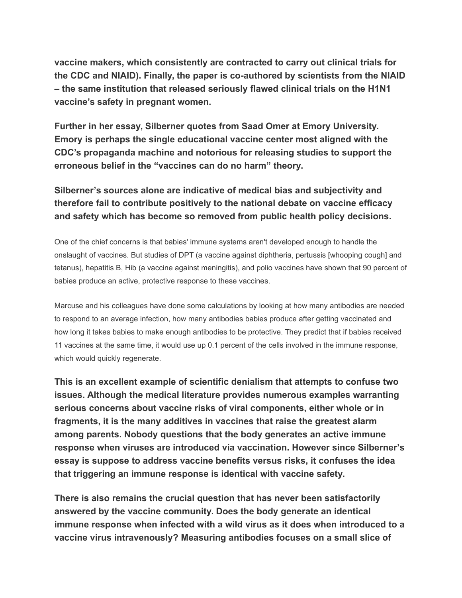**vaccine makers, which consistently are contracted to carry out clinical trials for the CDC and NIAID). Finally, the paper is co-authored by scientists from the NIAID – the same institution that released seriously flawed clinical trials on the H1N1 vaccine's safety in pregnant women.**

**Further in her essay, Silberner quotes from Saad Omer at Emory University. Emory is perhaps the single educational vaccine center most aligned with the CDC's propaganda machine and notorious for releasing studies to support the erroneous belief in the "vaccines can do no harm" theory.** 

**Silberner's sources alone are indicative of medical bias and subjectivity and therefore fail to contribute positively to the national debate on vaccine efficacy and safety which has become so removed from public health policy decisions.** 

One of the chief concerns is that babies' immune systems aren't developed enough to handle the onslaught of vaccines. But studies of DPT (a vaccine against diphtheria, pertussis [whooping cough] and tetanus), hepatitis B, Hib (a vaccine against meningitis), and polio vaccines have shown that 90 percent of babies produce an active, protective response to these vaccines.

Marcuse and his colleagues have done some calculations by looking at how many antibodies are needed to respond to an average infection, how many antibodies babies produce after getting vaccinated and how long it takes babies to make enough antibodies to be protective. They predict that if babies received 11 vaccines at the same time, it would use up 0.1 percent of the cells involved in the immune response, which would quickly regenerate.

**This is an excellent example of scientific denialism that attempts to confuse two issues. Although the medical literature provides numerous examples warranting serious concerns about vaccine risks of viral components, either whole or in fragments, it is the many additives in vaccines that raise the greatest alarm among parents. Nobody questions that the body generates an active immune response when viruses are introduced via vaccination. However since Silberner's essay is suppose to address vaccine benefits versus risks, it confuses the idea that triggering an immune response is identical with vaccine safety.** 

**There is also remains the crucial question that has never been satisfactorily answered by the vaccine community. Does the body generate an identical immune response when infected with a wild virus as it does when introduced to a vaccine virus intravenously? Measuring antibodies focuses on a small slice of**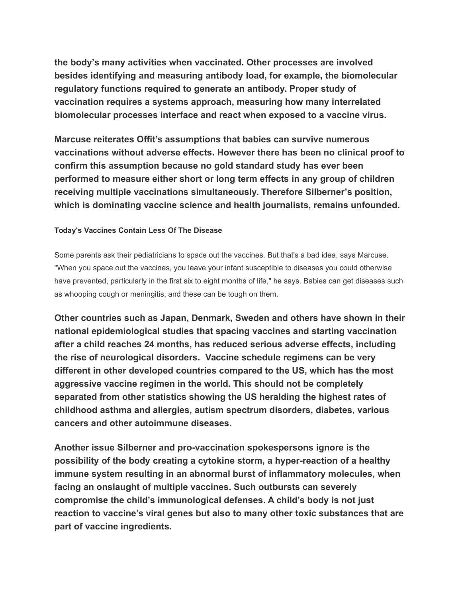**the body's many activities when vaccinated. Other processes are involved besides identifying and measuring antibody load, for example, the biomolecular regulatory functions required to generate an antibody. Proper study of vaccination requires a systems approach, measuring how many interrelated biomolecular processes interface and react when exposed to a vaccine virus.**

**Marcuse reiterates Offit's assumptions that babies can survive numerous vaccinations without adverse effects. However there has been no clinical proof to confirm this assumption because no gold standard study has ever been performed to measure either short or long term effects in any group of children receiving multiple vaccinations simultaneously. Therefore Silberner's position, which is dominating vaccine science and health journalists, remains unfounded.** 

## **Today's Vaccines Contain Less Of The Disease**

Some parents ask their pediatricians to space out the vaccines. But that's a bad idea, says Marcuse. "When you space out the vaccines, you leave your infant susceptible to diseases you could otherwise have prevented, particularly in the first six to eight months of life," he says. Babies can get diseases such as whooping cough or meningitis, and these can be tough on them.

**Other countries such as Japan, Denmark, Sweden and others have shown in their national epidemiological studies that spacing vaccines and starting vaccination after a child reaches 24 months, has reduced serious adverse effects, including the rise of neurological disorders. Vaccine schedule regimens can be very different in other developed countries compared to the US, which has the most aggressive vaccine regimen in the world. This should not be completely separated from other statistics showing the US heralding the highest rates of childhood asthma and allergies, autism spectrum disorders, diabetes, various cancers and other autoimmune diseases.**

**Another issue Silberner and pro-vaccination spokespersons ignore is the possibility of the body creating a cytokine storm, a hyper-reaction of a healthy immune system resulting in an abnormal burst of inflammatory molecules, when facing an onslaught of multiple vaccines. Such outbursts can severely compromise the child's immunological defenses. A child's body is not just reaction to vaccine's viral genes but also to many other toxic substances that are part of vaccine ingredients.**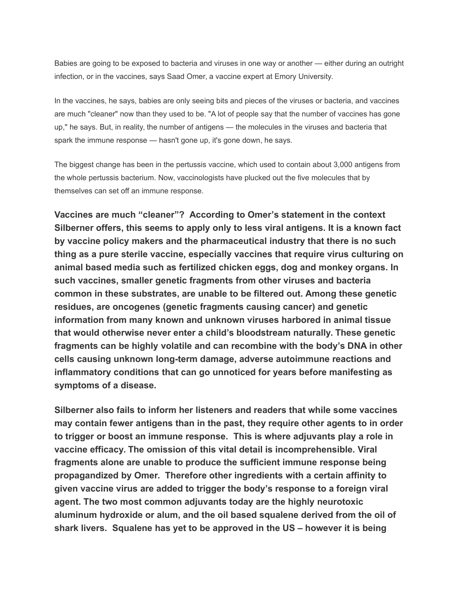Babies are going to be exposed to bacteria and viruses in one way or another — either during an outright infection, or in the vaccines, says Saad Omer, a vaccine expert at Emory University.

In the vaccines, he says, babies are only seeing bits and pieces of the viruses or bacteria, and vaccines are much "cleaner" now than they used to be. "A lot of people say that the number of vaccines has gone up," he says. But, in reality, the number of antigens — the molecules in the viruses and bacteria that spark the immune response — hasn't gone up, it's gone down, he says.

The biggest change has been in the pertussis vaccine, which used to contain about 3,000 antigens from the whole pertussis bacterium. Now, vaccinologists have plucked out the five molecules that by themselves can set off an immune response.

**Vaccines are much "cleaner"? According to Omer's statement in the context Silberner offers, this seems to apply only to less viral antigens. It is a known fact by vaccine policy makers and the pharmaceutical industry that there is no such thing as a pure sterile vaccine, especially vaccines that require virus culturing on animal based media such as fertilized chicken eggs, dog and monkey organs. In such vaccines, smaller genetic fragments from other viruses and bacteria common in these substrates, are unable to be filtered out. Among these genetic residues, are oncogenes (genetic fragments causing cancer) and genetic information from many known and unknown viruses harbored in animal tissue that would otherwise never enter a child's bloodstream naturally. These genetic fragments can be highly volatile and can recombine with the body's DNA in other cells causing unknown long-term damage, adverse autoimmune reactions and inflammatory conditions that can go unnoticed for years before manifesting as symptoms of a disease.** 

**Silberner also fails to inform her listeners and readers that while some vaccines may contain fewer antigens than in the past, they require other agents to in order to trigger or boost an immune response. This is where adjuvants play a role in vaccine efficacy. The omission of this vital detail is incomprehensible. Viral fragments alone are unable to produce the sufficient immune response being propagandized by Omer. Therefore other ingredients with a certain affinity to given vaccine virus are added to trigger the body's response to a foreign viral agent. The two most common adjuvants today are the highly neurotoxic aluminum hydroxide or alum, and the oil based squalene derived from the oil of shark livers. Squalene has yet to be approved in the US – however it is being**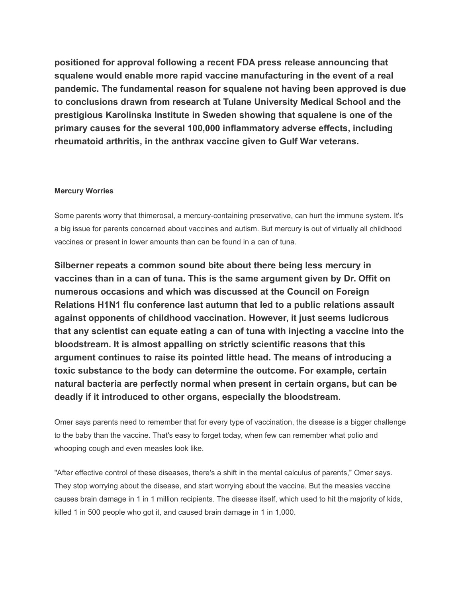**positioned for approval following a recent FDA press release announcing that squalene would enable more rapid vaccine manufacturing in the event of a real pandemic. The fundamental reason for squalene not having been approved is due to conclusions drawn from research at Tulane University Medical School and the prestigious Karolinska Institute in Sweden showing that squalene is one of the primary causes for the several 100,000 inflammatory adverse effects, including rheumatoid arthritis, in the anthrax vaccine given to Gulf War veterans.**

## **Mercury Worries**

Some parents worry that thimerosal, a mercury-containing preservative, can hurt the immune system. It's a big issue for parents concerned about vaccines and autism. But mercury is out of virtually all childhood vaccines or present in lower amounts than can be found in a can of tuna.

**Silberner repeats a common sound bite about there being less mercury in vaccines than in a can of tuna. This is the same argument given by Dr. Offit on numerous occasions and which was discussed at the Council on Foreign Relations H1N1 flu conference last autumn that led to a public relations assault against opponents of childhood vaccination. However, it just seems ludicrous that any scientist can equate eating a can of tuna with injecting a vaccine into the bloodstream. It is almost appalling on strictly scientific reasons that this argument continues to raise its pointed little head. The means of introducing a toxic substance to the body can determine the outcome. For example, certain natural bacteria are perfectly normal when present in certain organs, but can be deadly if it introduced to other organs, especially the bloodstream.** 

Omer says parents need to remember that for every type of vaccination, the disease is a bigger challenge to the baby than the vaccine. That's easy to forget today, when few can remember what polio and whooping cough and even measles look like.

"After effective control of these diseases, there's a shift in the mental calculus of parents," Omer says. They stop worrying about the disease, and start worrying about the vaccine. But the measles vaccine causes brain damage in 1 in 1 million recipients. The disease itself, which used to hit the majority of kids, killed 1 in 500 people who got it, and caused brain damage in 1 in 1,000.